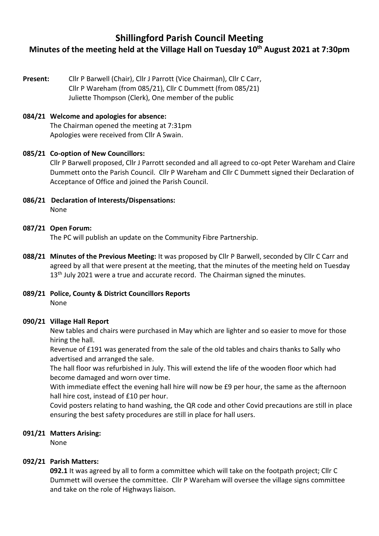# **Shillingford Parish Council Meeting Minutes of the meeting held at the Village Hall on Tuesday 10 th August 2021 at 7:30pm**

**Present:** Cllr P Barwell (Chair), Cllr J Parrott (Vice Chairman), Cllr C Carr, Cllr P Wareham (from 085/21), Cllr C Dummett (from 085/21) Juliette Thompson (Clerk), One member of the public

### **084/21 Welcome and apologies for absence:**

The Chairman opened the meeting at 7:31pm Apologies were received from Cllr A Swain.

#### **085/21 Co-option of New Councillors:**

Cllr P Barwell proposed, Cllr J Parrott seconded and all agreed to co-opt Peter Wareham and Claire Dummett onto the Parish Council. Cllr P Wareham and Cllr C Dummett signed their Declaration of Acceptance of Office and joined the Parish Council.

**086/21 Declaration of Interests/Dispensations:**  None

#### **087/21 Open Forum:**

The PC will publish an update on the Community Fibre Partnership.

- **088/21 Minutes of the Previous Meeting:** It was proposed by Cllr P Barwell, seconded by Cllr C Carr and agreed by all that were present at the meeting, that the minutes of the meeting held on Tuesday  $13<sup>th</sup>$  July 2021 were a true and accurate record. The Chairman signed the minutes.
- **089/21 Police, County & District Councillors Reports** None

#### **090/21 Village Hall Report**

New tables and chairs were purchased in May which are lighter and so easier to move for those hiring the hall.

Revenue of £191 was generated from the sale of the old tables and chairs thanks to Sally who advertised and arranged the sale.

The hall floor was refurbished in July. This will extend the life of the wooden floor which had become damaged and worn over time.

With immediate effect the evening hall hire will now be £9 per hour, the same as the afternoon hall hire cost, instead of £10 per hour.

Covid posters relating to hand washing, the QR code and other Covid precautions are still in place ensuring the best safety procedures are still in place for hall users.

#### **091/21 Matters Arising:**

None

#### **092/21 Parish Matters:**

**092.1** It was agreed by all to form a committee which will take on the footpath project; Cllr C Dummett will oversee the committee. Cllr P Wareham will oversee the village signs committee and take on the role of Highways liaison.